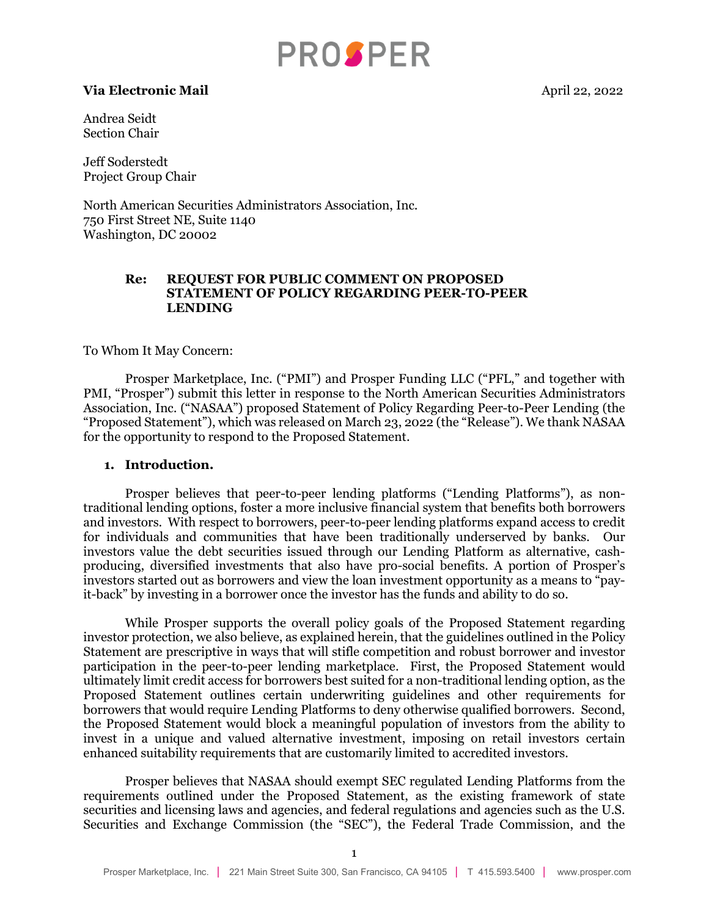# **PROSPER**

#### **Via Electronic Mail April 22, 2022**

Andrea Seidt Section Chair

Jeff Soderstedt Project Group Chair

North American Securities Administrators Association, Inc. 750 First Street NE, Suite 1140 Washington, DC 20002

#### **Re: REQUEST FOR PUBLIC COMMENT ON PROPOSED STATEMENT OF POLICY REGARDING PEER-TO-PEER LENDING**

To Whom It May Concern:

Prosper Marketplace, Inc. ("PMI") and Prosper Funding LLC ("PFL," and together with PMI, "Prosper") submit this letter in response to the North American Securities Administrators Association, Inc. ("NASAA") proposed Statement of Policy Regarding Peer-to-Peer Lending (the "Proposed Statement"), which was released on March 23, 2022 (the "Release"). We thank NASAA for the opportunity to respond to the Proposed Statement.

#### **1. Introduction.**

Prosper believes that peer-to-peer lending platforms ("Lending Platforms"), as nontraditional lending options, foster a more inclusive financial system that benefits both borrowers and investors. With respect to borrowers, peer-to-peer lending platforms expand access to credit for individuals and communities that have been traditionally underserved by banks. Our investors value the debt securities issued through our Lending Platform as alternative, cashproducing, diversified investments that also have pro-social benefits. A portion of Prosper's investors started out as borrowers and view the loan investment opportunity as a means to "payit-back" by investing in a borrower once the investor has the funds and ability to do so.

While Prosper supports the overall policy goals of the Proposed Statement regarding investor protection, we also believe, as explained herein, that the guidelines outlined in the Policy Statement are prescriptive in ways that will stifle competition and robust borrower and investor participation in the peer-to-peer lending marketplace. First, the Proposed Statement would ultimately limit credit access for borrowers best suited for a non-traditional lending option, as the Proposed Statement outlines certain underwriting guidelines and other requirements for borrowers that would require Lending Platforms to deny otherwise qualified borrowers. Second, the Proposed Statement would block a meaningful population of investors from the ability to invest in a unique and valued alternative investment, imposing on retail investors certain enhanced suitability requirements that are customarily limited to accredited investors.

Prosper believes that NASAA should exempt SEC regulated Lending Platforms from the requirements outlined under the Proposed Statement, as the existing framework of state securities and licensing laws and agencies, and federal regulations and agencies such as the U.S. Securities and Exchange Commission (the "SEC"), the Federal Trade Commission, and the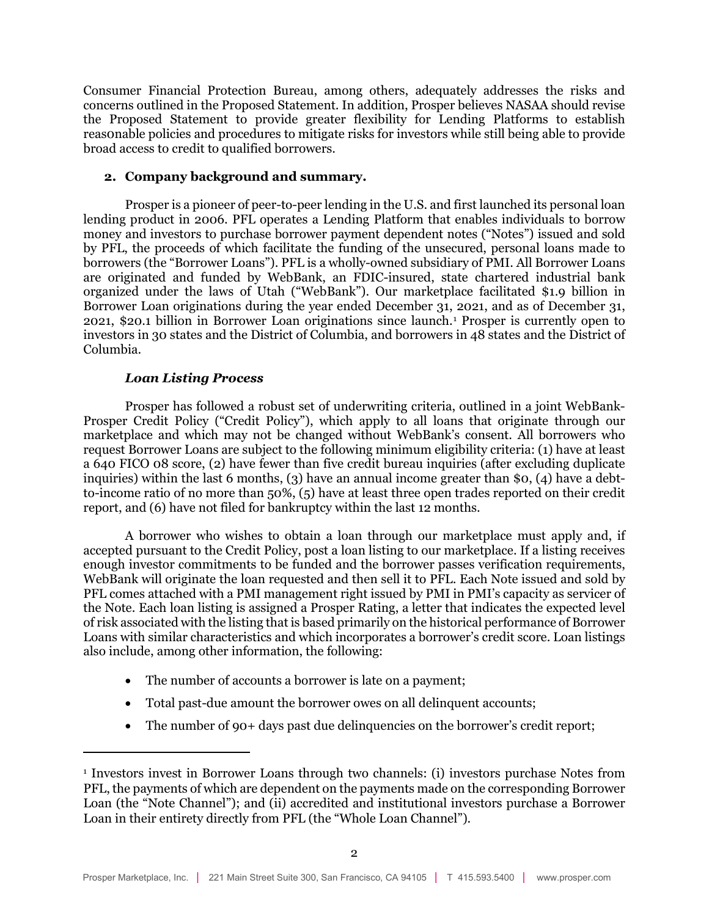Consumer Financial Protection Bureau, among others, adequately addresses the risks and concerns outlined in the Proposed Statement. In addition, Prosper believes NASAA should revise the Proposed Statement to provide greater flexibility for Lending Platforms to establish reas0nable policies and procedures to mitigate risks for investors while still being able to provide broad access to credit to qualified borrowers.

#### **2. Company background and summary.**

Prosper is a pioneer of peer-to-peer lending in the U.S. and first launched its personal loan lending product in 2006. PFL operates a Lending Platform that enables individuals to borrow money and investors to purchase borrower payment dependent notes ("Notes") issued and sold by PFL, the proceeds of which facilitate the funding of the unsecured, personal loans made to borrowers (the "Borrower Loans"). PFL is a wholly-owned subsidiary of PMI. All Borrower Loans are originated and funded by WebBank, an FDIC-insured, state chartered industrial bank organized under the laws of Utah ("WebBank"). Our marketplace facilitated \$1.9 billion in Borrower Loan originations during the year ended December 31, 2021, and as of December 31, 2021, \$20.1 billion in Borrower Loan originations since launch.[1](#page-1-0) Prosper is currently open to investors in 30 states and the District of Columbia, and borrowers in 48 states and the District of Columbia.

# *Loan Listing Process*

Prosper has followed a robust set of underwriting criteria, outlined in a joint WebBank-Prosper Credit Policy ("Credit Policy"), which apply to all loans that originate through our marketplace and which may not be changed without WebBank's consent. All borrowers who request Borrower Loans are subject to the following minimum eligibility criteria: (1) have at least a 640 FICO 08 score, (2) have fewer than five credit bureau inquiries (after excluding duplicate inquiries) within the last 6 months, (3) have an annual income greater than  $\mathfrak{so}$ , (4) have a debtto-income ratio of no more than 50%, (5) have at least three open trades reported on their credit report, and (6) have not filed for bankruptcy within the last 12 months.

A borrower who wishes to obtain a loan through our marketplace must apply and, if accepted pursuant to the Credit Policy, post a loan listing to our marketplace. If a listing receives enough investor commitments to be funded and the borrower passes verification requirements, WebBank will originate the loan requested and then sell it to PFL. Each Note issued and sold by PFL comes attached with a PMI management right issued by PMI in PMI's capacity as servicer of the Note. Each loan listing is assigned a Prosper Rating, a letter that indicates the expected level of risk associated with the listing that is based primarily on the historical performance of Borrower Loans with similar characteristics and which incorporates a borrower's credit score. Loan listings also include, among other information, the following:

- The number of accounts a borrower is late on a payment;
- Total past-due amount the borrower owes on all delinquent accounts;
- The number of 90+ days past due delinquencies on the borrower's credit report;

<span id="page-1-0"></span><sup>1</sup> Investors invest in Borrower Loans through two channels: (i) investors purchase Notes from PFL, the payments of which are dependent on the payments made on the corresponding Borrower Loan (the "Note Channel"); and (ii) accredited and institutional investors purchase a Borrower Loan in their entirety directly from PFL (the "Whole Loan Channel").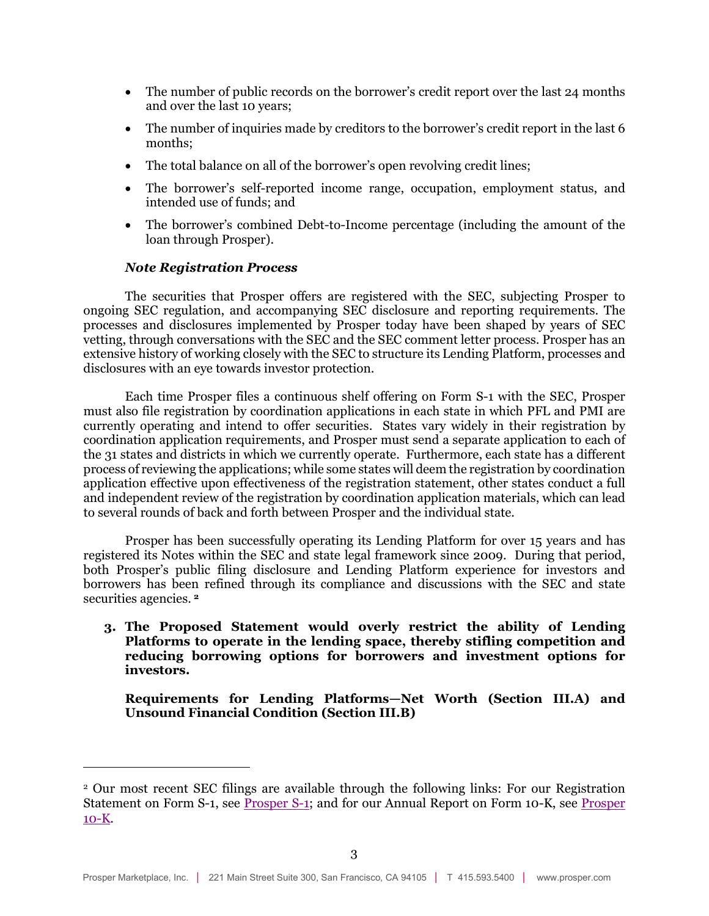- The number of public records on the borrower's credit report over the last 24 months and over the last 10 years;
- The number of inquiries made by creditors to the borrower's credit report in the last 6 months;
- The total balance on all of the borrower's open revolving credit lines;
- The borrower's self-reported income range, occupation, employment status, and intended use of funds; and
- The borrower's combined Debt-to-Income percentage (including the amount of the loan through Prosper).

# *Note Registration Process*

The securities that Prosper offers are registered with the SEC, subjecting Prosper to ongoing SEC regulation, and accompanying SEC disclosure and reporting requirements. The processes and disclosures implemented by Prosper today have been shaped by years of SEC vetting, through conversations with the SEC and the SEC comment letter process. Prosper has an extensive history of working closely with the SEC to structure its Lending Platform, processes and disclosures with an eye towards investor protection.

Each time Prosper files a continuous shelf offering on Form S-1 with the SEC, Prosper must also file registration by coordination applications in each state in which PFL and PMI are currently operating and intend to offer securities. States vary widely in their registration by coordination application requirements, and Prosper must send a separate application to each of the 31 states and districts in which we currently operate. Furthermore, each state has a different process of reviewing the applications; while some states will deem the registration by coordination application effective upon effectiveness of the registration statement, other states conduct a full and independent review of the registration by coordination application materials, which can lead to several rounds of back and forth between Prosper and the individual state.

Prosper has been successfully operating its Lending Platform for over 15 years and has registered its Notes within the SEC and state legal framework since 2009. During that period, both Prosper's public filing disclosure and Lending Platform experience for investors and borrowers has been refined through its compliance and discussions with the SEC and state securities agencies. **[2](#page-2-0)**

**3. The Proposed Statement would overly restrict the ability of Lending Platforms to operate in the lending space, thereby stifling competition and reducing borrowing options for borrowers and investment options for investors.**

**Requirements for Lending Platforms—Net Worth (Section III.A) and Unsound Financial Condition (Section III.B)**

<span id="page-2-0"></span><sup>2</sup> Our most recent SEC filings are available through the following links: For our Registration Statement on Form S-1, see [Prosper S-1;](https://www.sec.gov/Archives/edgar/data/0001416265/000141626521000377/s-1xseptember2021.htm) and for our Annual Report on Form 10-K, see [Prosper](https://www.sec.gov/ix?doc=/Archives/edgar/data/0001416265/000141626522000167/prosper-20211231.htm)  [10-K.](https://www.sec.gov/ix?doc=/Archives/edgar/data/0001416265/000141626522000167/prosper-20211231.htm)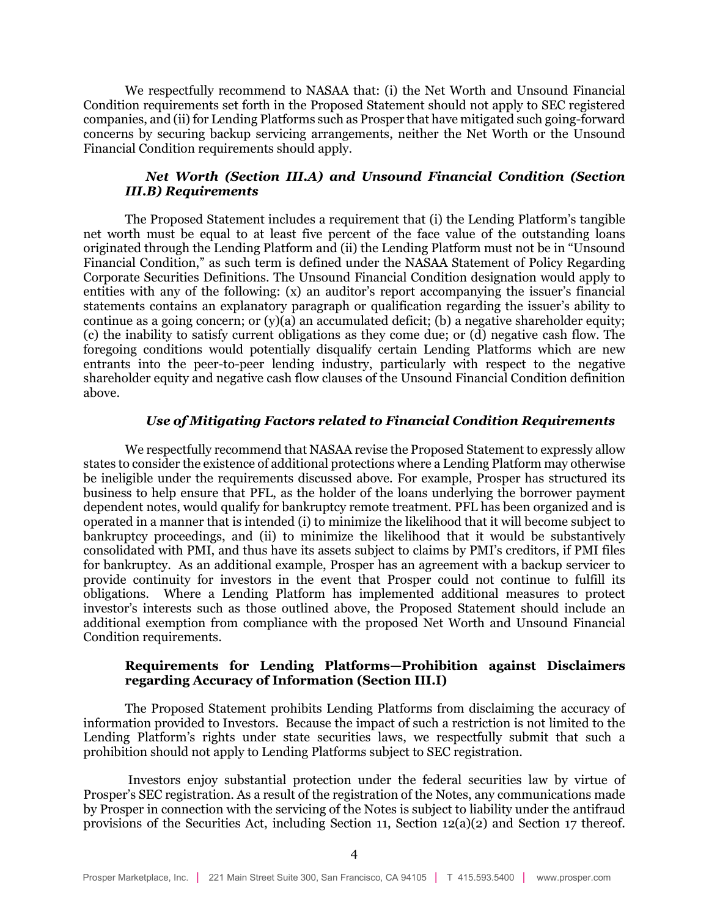We respectfully recommend to NASAA that: (i) the Net Worth and Unsound Financial Condition requirements set forth in the Proposed Statement should not apply to SEC registered companies, and (ii) for Lending Platforms such as Prosper that have mitigated such going-forward concerns by securing backup servicing arrangements, neither the Net Worth or the Unsound Financial Condition requirements should apply.

#### *Net Worth (Section III.A) and Unsound Financial Condition (Section III.B) Requirements*

The Proposed Statement includes a requirement that (i) the Lending Platform's tangible net worth must be equal to at least five percent of the face value of the outstanding loans originated through the Lending Platform and (ii) the Lending Platform must not be in "Unsound Financial Condition," as such term is defined under the NASAA Statement of Policy Regarding Corporate Securities Definitions. The Unsound Financial Condition designation would apply to entities with any of the following: (x) an auditor's report accompanying the issuer's financial statements contains an explanatory paragraph or qualification regarding the issuer's ability to continue as a going concern; or  $(v)(a)$  an accumulated deficit; (b) a negative shareholder equity; (c) the inability to satisfy current obligations as they come due; or (d) negative cash flow. The foregoing conditions would potentially disqualify certain Lending Platforms which are new entrants into the peer-to-peer lending industry, particularly with respect to the negative shareholder equity and negative cash flow clauses of the Unsound Financial Condition definition above.

#### *Use of Mitigating Factors related to Financial Condition Requirements*

We respectfully recommend that NASAA revise the Proposed Statement to expressly allow states to consider the existence of additional protections where a Lending Platform may otherwise be ineligible under the requirements discussed above. For example, Prosper has structured its business to help ensure that PFL, as the holder of the loans underlying the borrower payment dependent notes, would qualify for bankruptcy remote treatment. PFL has been organized and is operated in a manner that is intended (i) to minimize the likelihood that it will become subject to bankruptcy proceedings, and (ii) to minimize the likelihood that it would be substantively consolidated with PMI, and thus have its assets subject to claims by PMI's creditors, if PMI files for bankruptcy. As an additional example, Prosper has an agreement with a backup servicer to provide continuity for investors in the event that Prosper could not continue to fulfill its obligations. Where a Lending Platform has implemented additional measures to protect investor's interests such as those outlined above, the Proposed Statement should include an additional exemption from compliance with the proposed Net Worth and Unsound Financial Condition requirements.

#### **Requirements for Lending Platforms—Prohibition against Disclaimers regarding Accuracy of Information (Section III.I)**

The Proposed Statement prohibits Lending Platforms from disclaiming the accuracy of information provided to Investors. Because the impact of such a restriction is not limited to the Lending Platform's rights under state securities laws, we respectfully submit that such a prohibition should not apply to Lending Platforms subject to SEC registration.

Investors enjoy substantial protection under the federal securities law by virtue of Prosper's SEC registration. As a result of the registration of the Notes, any communications made by Prosper in connection with the servicing of the Notes is subject to liability under the antifraud provisions of the Securities Act, including Section 11, Section 12(a)(2) and Section 17 thereof.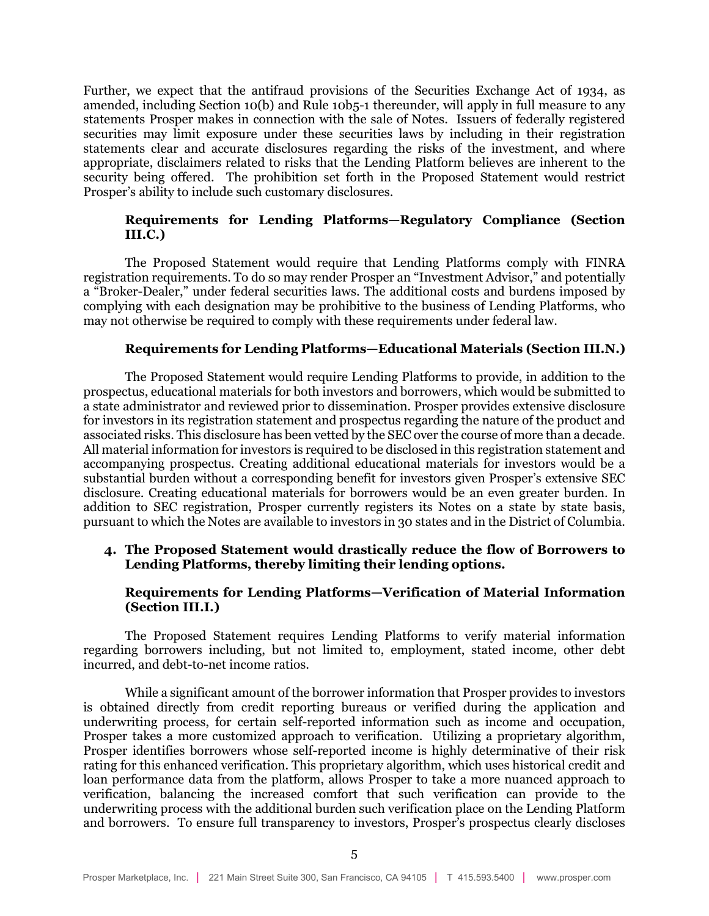Further, we expect that the antifraud provisions of the Securities Exchange Act of 1934, as amended, including Section 10(b) and Rule 10b5-1 thereunder, will apply in full measure to any statements Prosper makes in connection with the sale of Notes. Issuers of federally registered securities may limit exposure under these securities laws by including in their registration statements clear and accurate disclosures regarding the risks of the investment, and where appropriate, disclaimers related to risks that the Lending Platform believes are inherent to the security being offered. The prohibition set forth in the Proposed Statement would restrict Prosper's ability to include such customary disclosures.

# **Requirements for Lending Platforms—Regulatory Compliance (Section III.C.)**

The Proposed Statement would require that Lending Platforms comply with FINRA registration requirements. To do so may render Prosper an "Investment Advisor," and potentially a "Broker-Dealer," under federal securities laws. The additional costs and burdens imposed by complying with each designation may be prohibitive to the business of Lending Platforms, who may not otherwise be required to comply with these requirements under federal law.

#### **Requirements for Lending Platforms—Educational Materials (Section III.N.)**

The Proposed Statement would require Lending Platforms to provide, in addition to the prospectus, educational materials for both investors and borrowers, which would be submitted to a state administrator and reviewed prior to dissemination. Prosper provides extensive disclosure for investors in its registration statement and prospectus regarding the nature of the product and associated risks. This disclosure has been vetted by the SEC over the course of more than a decade. All material information for investors is required to be disclosed in this registration statement and accompanying prospectus. Creating additional educational materials for investors would be a substantial burden without a corresponding benefit for investors given Prosper's extensive SEC disclosure. Creating educational materials for borrowers would be an even greater burden. In addition to SEC registration, Prosper currently registers its Notes on a state by state basis, pursuant to which the Notes are available to investors in 30 states and in the District of Columbia.

# **4. The Proposed Statement would drastically reduce the flow of Borrowers to Lending Platforms, thereby limiting their lending options.**

# **Requirements for Lending Platforms—Verification of Material Information (Section III.I.)**

The Proposed Statement requires Lending Platforms to verify material information regarding borrowers including, but not limited to, employment, stated income, other debt incurred, and debt-to-net income ratios.

While a significant amount of the borrower information that Prosper provides to investors is obtained directly from credit reporting bureaus or verified during the application and underwriting process, for certain self-reported information such as income and occupation, Prosper takes a more customized approach to verification. Utilizing a proprietary algorithm, Prosper identifies borrowers whose self-reported income is highly determinative of their risk rating for this enhanced verification. This proprietary algorithm, which uses historical credit and loan performance data from the platform, allows Prosper to take a more nuanced approach to verification, balancing the increased comfort that such verification can provide to the underwriting process with the additional burden such verification place on the Lending Platform and borrowers. To ensure full transparency to investors, Prosper's prospectus clearly discloses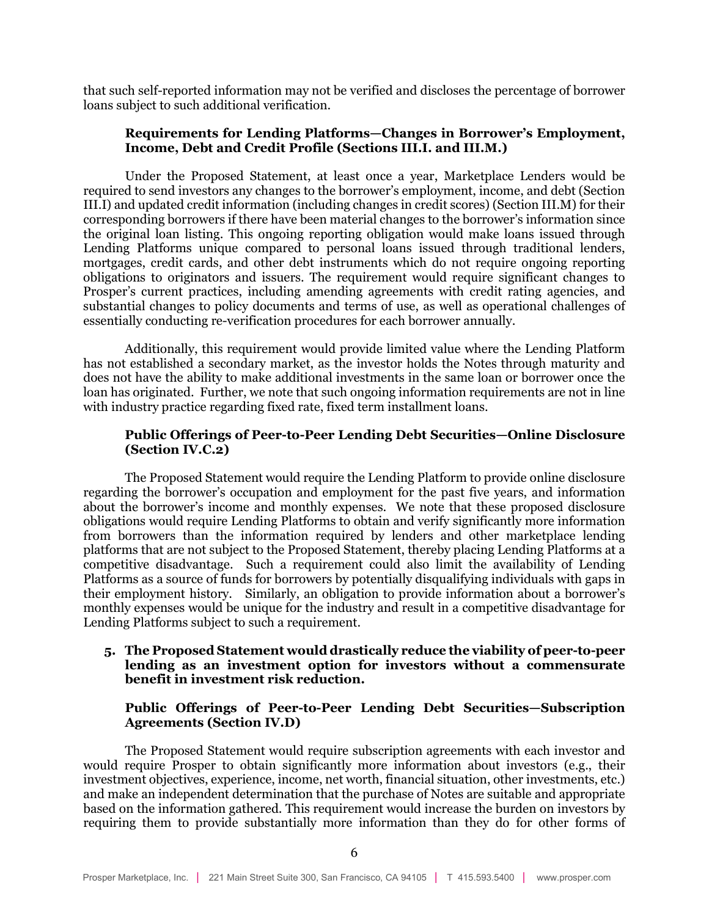that such self-reported information may not be verified and discloses the percentage of borrower loans subject to such additional verification.

# **Requirements for Lending Platforms—Changes in Borrower's Employment, Income, Debt and Credit Profile (Sections III.I. and III.M.)**

Under the Proposed Statement, at least once a year, Marketplace Lenders would be required to send investors any changes to the borrower's employment, income, and debt (Section III.I) and updated credit information (including changes in credit scores) (Section III.M) for their corresponding borrowers if there have been material changes to the borrower's information since the original loan listing. This ongoing reporting obligation would make loans issued through Lending Platforms unique compared to personal loans issued through traditional lenders, mortgages, credit cards, and other debt instruments which do not require ongoing reporting obligations to originators and issuers. The requirement would require significant changes to Prosper's current practices, including amending agreements with credit rating agencies, and substantial changes to policy documents and terms of use, as well as operational challenges of essentially conducting re-verification procedures for each borrower annually.

Additionally, this requirement would provide limited value where the Lending Platform has not established a secondary market, as the investor holds the Notes through maturity and does not have the ability to make additional investments in the same loan or borrower once the loan has originated. Further, we note that such ongoing information requirements are not in line with industry practice regarding fixed rate, fixed term installment loans.

#### **Public Offerings of Peer-to-Peer Lending Debt Securities—Online Disclosure (Section IV.C.2)**

The Proposed Statement would require the Lending Platform to provide online disclosure regarding the borrower's occupation and employment for the past five years, and information about the borrower's income and monthly expenses. We note that these proposed disclosure obligations would require Lending Platforms to obtain and verify significantly more information from borrowers than the information required by lenders and other marketplace lending platforms that are not subject to the Proposed Statement, thereby placing Lending Platforms at a competitive disadvantage. Such a requirement could also limit the availability of Lending Platforms as a source of funds for borrowers by potentially disqualifying individuals with gaps in their employment history. Similarly, an obligation to provide information about a borrower's monthly expenses would be unique for the industry and result in a competitive disadvantage for Lending Platforms subject to such a requirement.

# **5. The Proposed Statement would drastically reduce the viability of peer-to-peer lending as an investment option for investors without a commensurate benefit in investment risk reduction.**

# **Public Offerings of Peer-to-Peer Lending Debt Securities—Subscription Agreements (Section IV.D)**

The Proposed Statement would require subscription agreements with each investor and would require Prosper to obtain significantly more information about investors (e.g., their investment objectives, experience, income, net worth, financial situation, other investments, etc.) and make an independent determination that the purchase of Notes are suitable and appropriate based on the information gathered. This requirement would increase the burden on investors by requiring them to provide substantially more information than they do for other forms of